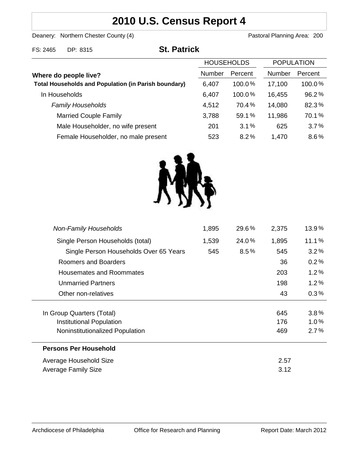# **2010 U.S. Census Report 4**

Deanery: Northern Chester County (4) Deanery: Northern Chester County (4)

82.3% 70.1% % %

| FS: 2465                                                                             | DP: 8315                     | <b>St. Patrick</b> |                   |               |                   |       |
|--------------------------------------------------------------------------------------|------------------------------|--------------------|-------------------|---------------|-------------------|-------|
|                                                                                      |                              |                    | <b>HOUSEHOLDS</b> |               | <b>POPULATION</b> |       |
| Where do people live?<br><b>Total Households and Population (in Parish boundary)</b> |                              | Number             | Percent           | <b>Number</b> | Percent           |       |
|                                                                                      |                              | 6,407              | 100.0%            | 17,100        | 100.0%            |       |
|                                                                                      | In Households                |                    | 6,407             | 100.0%        | 16,455            | 96.2% |
|                                                                                      | <b>Family Households</b>     |                    | 4,512             | 70.4%         | 14,080            | 82.3% |
|                                                                                      | <b>Married Couple Family</b> |                    | 3,788             | 59.1%         | 11,986            | 70.1% |
|                                                                                      |                              |                    |                   |               |                   |       |

Male Householder, no wife present **625** 3.1% 625 Female Householder, no male present 623 8.2% 1,470



201 523 % %

| <b>Non-Family Households</b>           | 1,895 | 29.6%   | 2,375 | 13.9%   |
|----------------------------------------|-------|---------|-------|---------|
| Single Person Households (total)       | 1,539 | 24.0%   | 1,895 | 11.1%   |
| Single Person Households Over 65 Years | 545   | $8.5\%$ | 545   | 3.2%    |
| Roomers and Boarders                   |       |         | 36    | 0.2%    |
| Housemates and Roommates               |       |         | 203   | 1.2%    |
| <b>Unmarried Partners</b>              |       |         | 198   | 1.2%    |
| Other non-relatives                    |       |         | 43    | $0.3\%$ |
|                                        |       |         |       |         |
| In Group Quarters (Total)              |       |         | 645   | $3.8\%$ |
| <b>Institutional Population</b>        |       |         | 176   | 1.0%    |
| Noninstitutionalized Population        |       |         | 469   | 2.7%    |
| <b>Persons Per Household</b>           |       |         |       |         |
| Average Household Size                 |       |         | 2.57  |         |
| Average Family Size                    |       |         | 3.12  |         |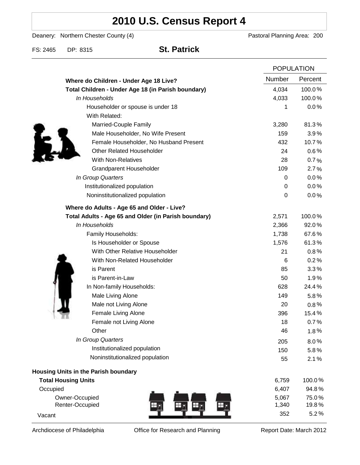# **2010 U.S. Census Report 4**

Deanery: Northern Chester County (4) Deanery: Northern Chester County (4)

FS: 2465 DP: 8315 **St. Patrick**

|                                                      |                  | <b>POPULATION</b> |  |
|------------------------------------------------------|------------------|-------------------|--|
| Where do Children - Under Age 18 Live?               | Number           | Percent           |  |
| Total Children - Under Age 18 (in Parish boundary)   | 4,034            | 100.0%            |  |
| In Households                                        | 4,033            | 100.0%            |  |
| Householder or spouse is under 18                    | 1                | 0.0%              |  |
| With Related:                                        |                  |                   |  |
| Married-Couple Family                                | 3,280            | 81.3%             |  |
| Male Householder, No Wife Present                    | 159              | 3.9%              |  |
| Female Householder, No Husband Present               | 432              | 10.7%             |  |
| <b>Other Related Householder</b>                     | 24               | 0.6%              |  |
| <b>With Non-Relatives</b>                            | 28               | 0.7%              |  |
| Grandparent Householder                              | 109              | 2.7%              |  |
| In Group Quarters                                    | 0                | 0.0%              |  |
| Institutionalized population                         | 0                | 0.0%              |  |
| Noninstitutionalized population                      | $\boldsymbol{0}$ | 0.0%              |  |
| Where do Adults - Age 65 and Older - Live?           |                  |                   |  |
| Total Adults - Age 65 and Older (in Parish boundary) | 2,571            | 100.0%            |  |
| In Households                                        | 2,366            | 92.0%             |  |
| Family Households:                                   | 1,738            | 67.6%             |  |
| Is Householder or Spouse                             | 1,576            | 61.3%             |  |
| With Other Relative Householder                      | 21               | 0.8%              |  |
| With Non-Related Householder                         | 6                | 0.2%              |  |
| is Parent                                            | 85               | 3.3%              |  |
| is Parent-in-Law                                     | 50               | 1.9%              |  |
| In Non-family Households:                            | 628              | 24.4%             |  |
| Male Living Alone                                    | 149              | $5.8\%$           |  |
| Male not Living Alone                                | 20               | $0.8\%$           |  |
| Female Living Alone                                  | 396              | 15.4%             |  |
| Female not Living Alone                              | 18               | 0.7%              |  |
| Other                                                | 46               | 1.8%              |  |
| In Group Quarters                                    | 205              | 8.0%              |  |
| Institutionalized population                         | 150              | 5.8%              |  |
| Noninstitutionalized population                      | 55               | 2.1%              |  |
| Housing Units in the Parish boundary                 |                  |                   |  |
| <b>Total Housing Units</b>                           | 6,759            | 100.0%            |  |
| Occupied                                             | 6,407            | 94.8%             |  |
| Owner-Occupied                                       | 5,067            | 75.0%             |  |
| Renter-Occupied                                      | 1,340            | 19.8%             |  |
| Vacant                                               | 352              | 5.2%              |  |

Archdiocese of Philadelphia **Office for Research and Planning** Report Date: March 2012